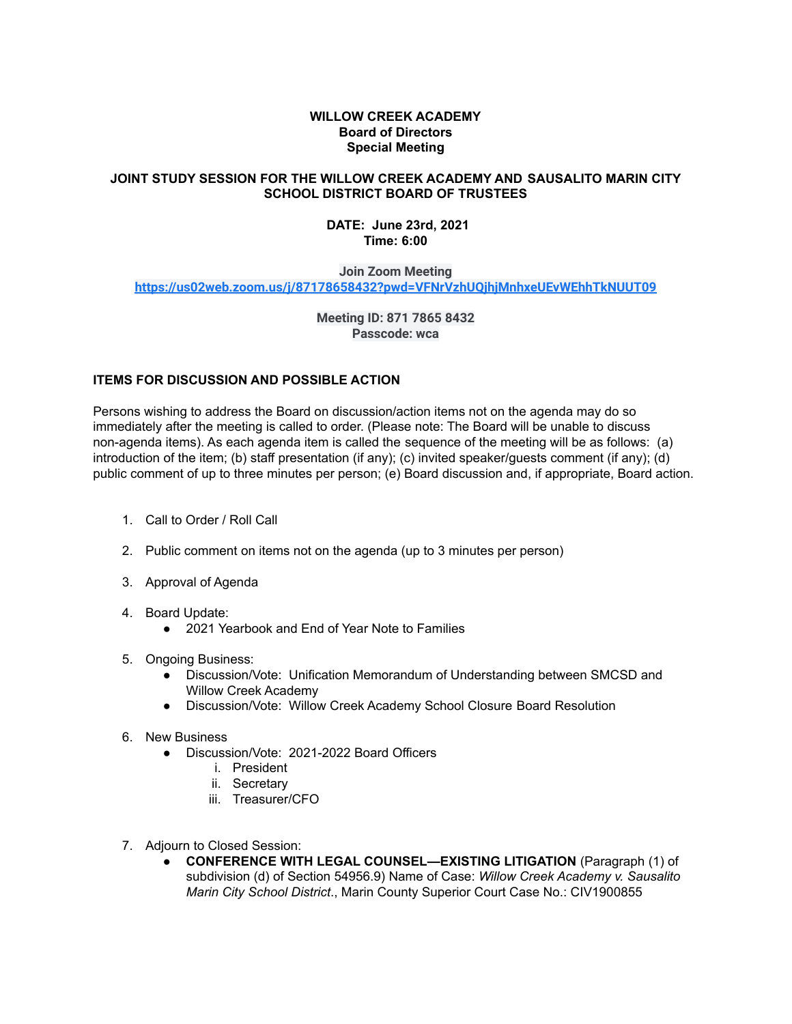## **WILLOW CREEK ACADEMY Board of Directors Special Meeting**

## **JOINT STUDY SESSION FOR THE WILLOW CREEK ACADEMY AND SAUSALITO MARIN CITY SCHOOL DISTRICT BOARD OF TRUSTEES**

## **DATE: June 23rd, 2021 Time: 6:00**

**Join Zoom Meeting**

**<https://us02web.zoom.us/j/87178658432?pwd=VFNrVzhUQjhjMnhxeUEvWEhhTkNUUT09>**

**Meeting ID: 871 7865 8432 Passcode: wca**

## **ITEMS FOR DISCUSSION AND POSSIBLE ACTION**

Persons wishing to address the Board on discussion/action items not on the agenda may do so immediately after the meeting is called to order. (Please note: The Board will be unable to discuss non-agenda items). As each agenda item is called the sequence of the meeting will be as follows: (a) introduction of the item; (b) staff presentation (if any); (c) invited speaker/guests comment (if any); (d) public comment of up to three minutes per person; (e) Board discussion and, if appropriate, Board action.

- 1. Call to Order / Roll Call
- 2. Public comment on items not on the agenda (up to 3 minutes per person)
- 3. Approval of Agenda
- 4. Board Update:
	- 2021 Yearbook and End of Year Note to Families
- 5. Ongoing Business:
	- Discussion/Vote: Unification Memorandum of Understanding between SMCSD and Willow Creek Academy
	- Discussion/Vote: Willow Creek Academy School Closure Board Resolution
- 6. New Business
	- Discussion/Vote: 2021-2022 Board Officers
		- i. President
		- ii. Secretary
		- iii. Treasurer/CFO
- 7. Adjourn to Closed Session:
	- **CONFERENCE WITH LEGAL COUNSEL—EXISTING LITIGATION** (Paragraph (1) of subdivision (d) of Section 54956.9) Name of Case: *Willow Creek Academy v. Sausalito Marin City School District*., Marin County Superior Court Case No.: CIV1900855